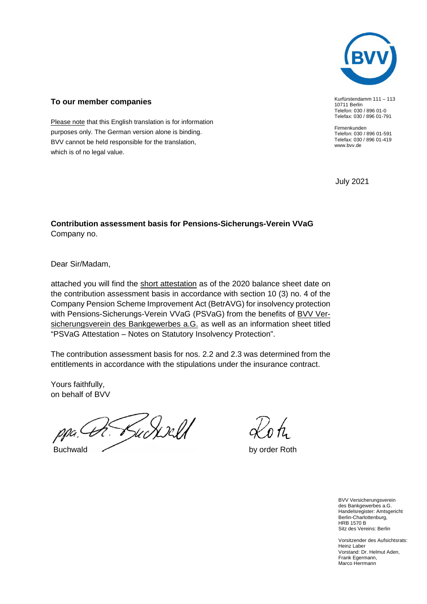

Kurfürstendamm 111 – 113

10711 Berlin Telefon: 030 / 896 01-0 Telefax: 030 / 896 01-791

Firmenkunden Telefon: 030 / 896 01-591 Telefax: 030 / 896 01-419

www.bvv.de

## **To our member companies**

Please note that this English translation is for information purposes only. The German version alone is binding. BVV cannot be held responsible for the translation, which is of no legal value.

July 2021

## **Contribution assessment basis for Pensions-Sicherungs-Verein VVaG**  Company no.

Dear Sir/Madam,

attached you will find the short attestation as of the 2020 balance sheet date on the contribution assessment basis in accordance with section 10 (3) no. 4 of the Company Pension Scheme Improvement Act (BetrAVG) for insolvency protection with Pensions-Sicherungs-Verein VVaG (PSVaG) from the benefits of BVV Versicherungsverein des Bankgewerbes a.G. as well as an information sheet titled "PSVaG Attestation – Notes on Statutory Insolvency Protection".

The contribution assessment basis for nos. 2.2 and 2.3 was determined from the entitlements in accordance with the stipulations under the insurance contract.

Yours faithfully, on behalf of BVV

Budschl

Buchwald by order Roth

BVV Versicherungsverein des Bankgewerbes a.G. Handelsregister: Amtsgericht Berlin-Charlottenburg, HRB 1570 B Sitz des Vereins: Berlin

Vorsitzender des Aufsichtsrats: Heinz Laber Vorstand: Dr. Helmut Aden, Frank Egermann, Marco Herrmann